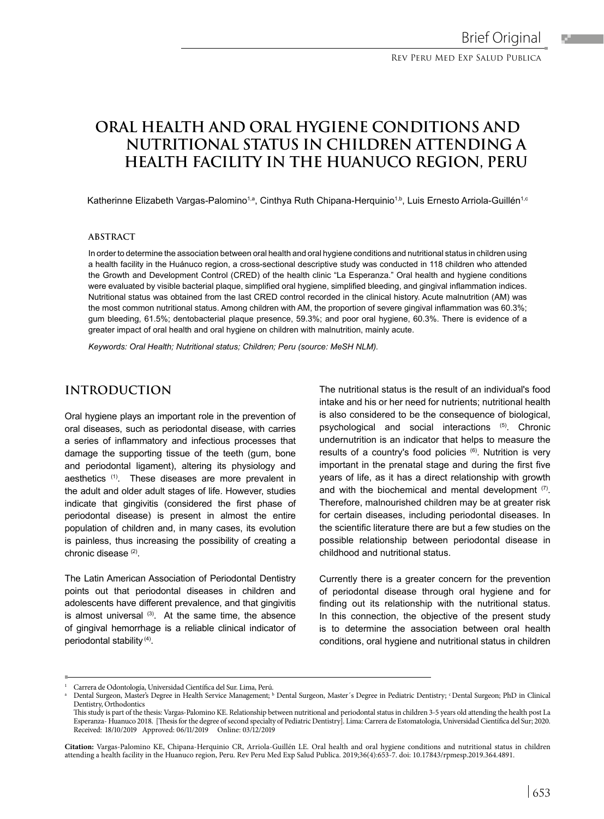# **ORAL HEALTH AND ORAL HYGIENE CONDITIONS AND NUTRITIONAL STATUS IN CHILDREN ATTENDING A HEALTH FACILITY IN THE HUANUCO REGION, PERU**

Katherinne Elizabeth Vargas-Palomino<sup>1,a</sup>, Cinthya Ruth Chipana-Herquinio<sup>1,b</sup>, Luis Ernesto Arriola-Guillén<sup>1,c</sup>

### **ABSTRACT**

In order to determine the association between oral health and oral hygiene conditions and nutritional status in children using a health facility in the Huánuco region, a cross-sectional descriptive study was conducted in 118 children who attended the Growth and Development Control (CRED) of the health clinic "La Esperanza." Oral health and hygiene conditions were evaluated by visible bacterial plaque, simplified oral hygiene, simplified bleeding, and gingival inflammation indices. Nutritional status was obtained from the last CRED control recorded in the clinical history. Acute malnutrition (AM) was the most common nutritional status. Among children with AM, the proportion of severe gingival inflammation was 60.3%; gum bleeding, 61.5%; dentobacterial plaque presence, 59.3%; and poor oral hygiene, 60.3%. There is evidence of a greater impact of oral health and oral hygiene on children with malnutrition, mainly acute.

*Keywords: Oral Health; Nutritional status; Children; Peru (source: MeSH NLM).*

# **INTRODUCTION**

Oral hygiene plays an important role in the prevention of oral diseases, such as periodontal disease, with carries a series of inflammatory and infectious processes that damage the supporting tissue of the teeth (gum, bone and periodontal ligament), altering its physiology and aesthetics<sup>(1)</sup>. These diseases are more prevalent in the adult and older adult stages of life. However, studies indicate that gingivitis (considered the first phase of periodontal disease) is present in almost the entire population of children and, in many cases, its evolution is painless, thus increasing the possibility of creating a chronic disease (2).

The Latin American Association of Periodontal Dentistry points out that periodontal diseases in children and adolescents have different prevalence, and that gingivitis is almost universal  $(3)$ . At the same time, the absence of gingival hemorrhage is a reliable clinical indicator of periodontal stability (4).

The nutritional status is the result of an individual's food intake and his or her need for nutrients; nutritional health is also considered to be the consequence of biological, psychological and social interactions (5). Chronic undernutrition is an indicator that helps to measure the results of a country's food policies (6). Nutrition is very important in the prenatal stage and during the first five years of life, as it has a direct relationship with growth and with the biochemical and mental development (7). Therefore, malnourished children may be at greater risk for certain diseases, including periodontal diseases. In the scientific literature there are but a few studies on the possible relationship between periodontal disease in childhood and nutritional status.

Currently there is a greater concern for the prevention of periodontal disease through oral hygiene and for finding out its relationship with the nutritional status. In this connection, the objective of the present study is to determine the association between oral health conditions, oral hygiene and nutritional status in children

**Citation:** Vargas-Palomino KE, Chipana-Herquinio CR, Arriola-Guillén LE. Oral health and oral hygiene conditions and nutritional status in children attending a health facility in the Huanuco region, Peru. Rev Peru Med Exp Salud Publica. 2019;36(4):653-7. doi: 10.17843/rpmesp.2019.364.4891.

<sup>&#</sup>x27; Carrera de Odontología, Universidad Científica del Sur. Lima, Perú.<br>ª Dental Surgeon, Master's Degree in Health Service Management; ʰ Dental Surgeon, Master´s Degree in Pediatric Dentistry; ʿDental Surgeon; PhD in Clinic Dentistry, Orthodontics

This study is part of the thesis: Vargas-Palomino KE. Relationship between nutritional and periodontal status in children 3-5 years old attending the health post La Esperanza- Huanuco 2018. [Thesis for the degree of second specialty of Pediatric Dentistry]. Lima: Carrera de Estomatologia, Universidad Científica del Sur; 2020. Received: 18/10/2019 Approved: 06/11/2019 Online: 03/12/2019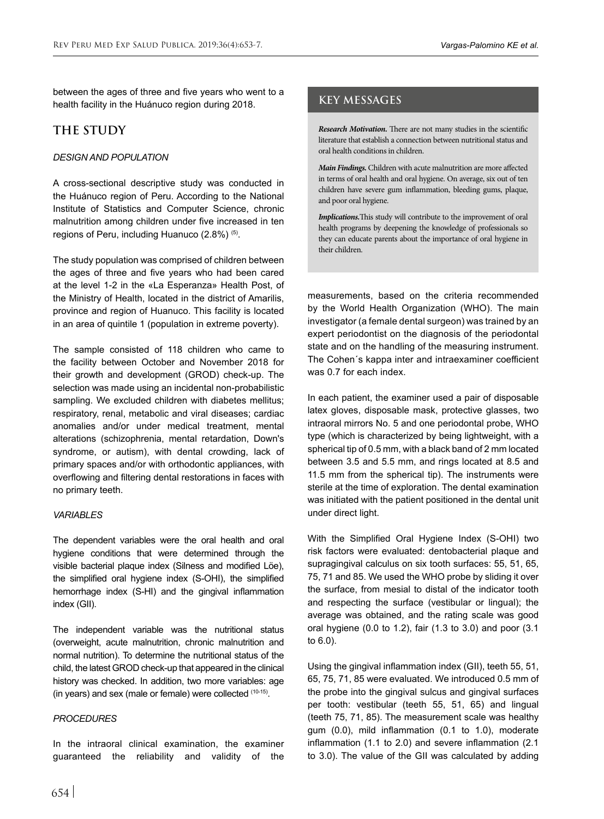between the ages of three and five years who went to a **health facility in the Huánuco region during** 2018.

# **THE STUDY**

### *DESIGN AND POPULATION*

A cross-sectional descriptive study was conducted in the Huánuco region of Peru. According to the National Institute of Statistics and Computer Science, chronic malnutrition among children under five increased in ten regions of Peru, including Huanuco (2.8%) (5).

The study population was comprised of children between the ages of three and five years who had been cared at the level 1-2 in the «La Esperanza» Health Post, of the Ministry of Health, located in the district of Amarilis, province and region of Huanuco. This facility is located in an area of quintile 1 (population in extreme poverty).

The sample consisted of 118 children who came to the facility between October and November 2018 for their growth and development (GROD) check-up. The selection was made using an incidental non-probabilistic sampling. We excluded children with diabetes mellitus; respiratory, renal, metabolic and viral diseases; cardiac anomalies and/or under medical treatment, mental alterations (schizophrenia, mental retardation, Down's syndrome, or autism), with dental crowding, lack of primary spaces and/or with orthodontic appliances, with overflowing and filtering dental restorations in faces with no primary teeth.

### *VARIABLES*

The dependent variables were the oral health and oral hygiene conditions that were determined through the visible bacterial plaque index (Silness and modified Löe), the simplified oral hygiene index (S-OHI), the simplified hemorrhage index (S-HI) and the gingival inflammation index (GII).

The independent variable was the nutritional status (overweight, acute malnutrition, chronic malnutrition and normal nutrition). To determine the nutritional status of the child, the latest GROD check-up that appeared in the clinical history was checked. In addition, two more variables: age (in years) and sex (male or female) were collected (10-15).

### *PROCEDURES*

In the intraoral clinical examination, the examiner guaranteed the reliability and validity of the

*Research Motivation.* There are not many studies in the scientific literature that establish a connection between nutritional status and oral health conditions in children.

*Main Findings.* Children with acute malnutrition are more affected in terms of oral health and oral hygiene. On average, six out of ten children have severe gum inflammation, bleeding gums, plaque, and poor oral hygiene.

*Implications.*This study will contribute to the improvement of oral health programs by deepening the knowledge of professionals so they can educate parents about the importance of oral hygiene in their children.

measurements, based on the criteria recommended by the World Health Organization (WHO). The main investigator (a female dental surgeon) was trained by an expert periodontist on the diagnosis of the periodontal state and on the handling of the measuring instrument. The Cohen´s kappa inter and intraexaminer coefficient was 0.7 for each index.

In each patient, the examiner used a pair of disposable latex gloves, disposable mask, protective glasses, two intraoral mirrors No. 5 and one periodontal probe, WHO type (which is characterized by being lightweight, with a spherical tip of 0.5 mm, with a black band of 2 mm located between 3.5 and 5.5 mm, and rings located at 8.5 and 11.5 mm from the spherical tip). The instruments were sterile at the time of exploration. The dental examination was initiated with the patient positioned in the dental unit under direct light.

With the Simplified Oral Hygiene Index (S-OHI) two risk factors were evaluated: dentobacterial plaque and supragingival calculus on six tooth surfaces: 55, 51, 65, 75, 71 and 85. We used the WHO probe by sliding it over the surface, from mesial to distal of the indicator tooth and respecting the surface (vestibular or lingual); the average was obtained, and the rating scale was good oral hygiene (0.0 to 1.2), fair (1.3 to 3.0) and poor (3.1 to 6.0).

Using the gingival inflammation index (GII), teeth 55, 51, 65, 75, 71, 85 were evaluated. We introduced 0.5 mm of the probe into the gingival sulcus and gingival surfaces per tooth: vestibular (teeth 55, 51, 65) and lingual (teeth 75, 71, 85). The measurement scale was healthy gum (0.0), mild inflammation (0.1 to 1.0), moderate inflammation (1.1 to 2.0) and severe inflammation (2.1 to 3.0). The value of the GII was calculated by adding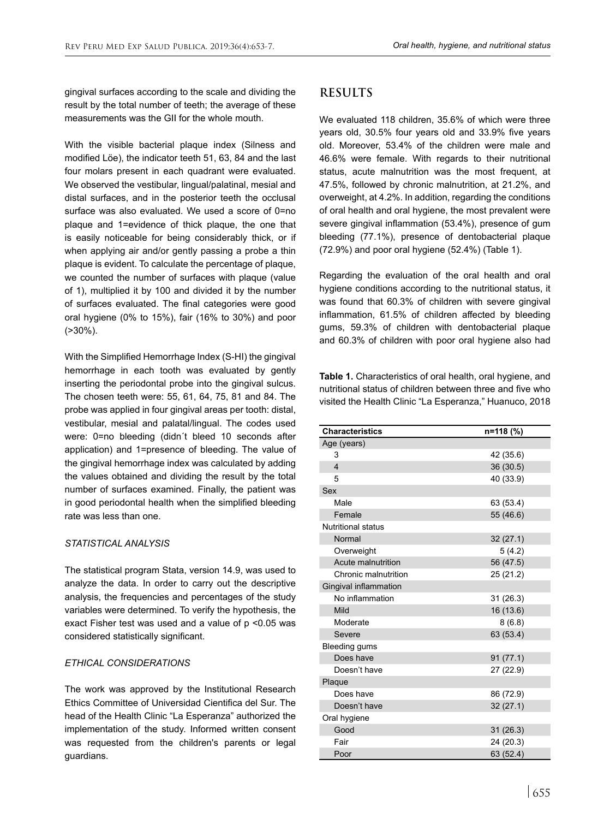gingival surfaces according to the scale and dividing the result by the total number of teeth; the average of these measurements was the GII for the whole mouth.

With the visible bacterial plaque index (Silness and modified Löe), the indicator teeth 51, 63, 84 and the last four molars present in each quadrant were evaluated. We observed the vestibular, lingual/palatinal, mesial and distal surfaces, and in the posterior teeth the occlusal surface was also evaluated. We used a score of 0=no plaque and 1=evidence of thick plaque, the one that is easily noticeable for being considerably thick, or if when applying air and/or gently passing a probe a thin plaque is evident. To calculate the percentage of plaque, we counted the number of surfaces with plaque (value of 1), multiplied it by 100 and divided it by the number of surfaces evaluated. The final categories were good oral hygiene (0% to 15%), fair (16% to 30%) and poor (>30%).

With the Simplified Hemorrhage Index (S-HI) the gingival hemorrhage in each tooth was evaluated by gently inserting the periodontal probe into the gingival sulcus. The chosen teeth were: 55, 61, 64, 75, 81 and 84. The probe was applied in four gingival areas per tooth: distal, vestibular, mesial and palatal/lingual. The codes used were: 0=no bleeding (didn´t bleed 10 seconds after application) and 1=presence of bleeding. The value of the gingival hemorrhage index was calculated by adding the values obtained and dividing the result by the total number of surfaces examined. Finally, the patient was in good periodontal health when the simplified bleeding rate was less than one.

### *STATISTICAL ANALYSIS*

The statistical program Stata, version 14.9, was used to analyze the data. In order to carry out the descriptive analysis, the frequencies and percentages of the study variables were determined. To verify the hypothesis, the exact Fisher test was used and a value of p <0.05 was considered statistically significant.

### *ETHICAL CONSIDERATIONS*

The work was approved by the Institutional Research Ethics Committee of Universidad Cientifica del Sur. The head of the Health Clinic "La Esperanza" authorized the implementation of the study. Informed written consent was requested from the children's parents or legal guardians.

# **RESULTS**

We evaluated 118 children, 35.6% of which were three years old, 30.5% four years old and 33.9% five years old. Moreover, 53.4% of the children were male and 46.6% were female. With regards to their nutritional status, acute malnutrition was the most frequent, at 47.5%, followed by chronic malnutrition, at 21.2%, and overweight, at 4.2%. In addition, regarding the conditions of oral health and oral hygiene, the most prevalent were severe gingival inflammation (53.4%), presence of gum bleeding (77.1%), presence of dentobacterial plaque (72.9%) and poor oral hygiene (52.4%) (Table 1).

Regarding the evaluation of the oral health and oral hygiene conditions according to the nutritional status, it was found that 60.3% of children with severe gingival inflammation, 61.5% of children affected by bleeding gums, 59.3% of children with dentobacterial plaque and 60.3% of children with poor oral hygiene also had

**Table 1.** Characteristics of oral health, oral hygiene, and nutritional status of children between three and five who visited the Health Clinic "La Esperanza," Huanuco, 2018

| <b>Characteristics</b>    | n=118 (%) |
|---------------------------|-----------|
| Age (years)               |           |
| 3                         | 42 (35.6) |
| $\overline{\mathbf{4}}$   | 36 (30.5) |
| 5                         | 40 (33.9) |
| Sex                       |           |
| Male                      | 63 (53.4) |
| Female                    | 55 (46.6) |
| <b>Nutritional status</b> |           |
| Normal                    | 32(27.1)  |
| Overweight                | 5 (4.2)   |
| Acute malnutrition        | 56 (47.5) |
| Chronic malnutrition      | 25 (21.2) |
| Gingival inflammation     |           |
| No inflammation           | 31(26.3)  |
| Mild                      | 16 (13.6) |
| Moderate                  | 8(6.8)    |
| Severe                    | 63 (53.4) |
| Bleeding gums             |           |
| Does have                 | 91(77.1)  |
| Doesn't have              | 27 (22.9) |
| Plaque                    |           |
| Does have                 | 86 (72.9) |
| Doesn't have              | 32(27.1)  |
| Oral hygiene              |           |
| Good                      | 31(26.3)  |
| Fair                      | 24 (20.3) |
| Poor                      | 63 (52.4) |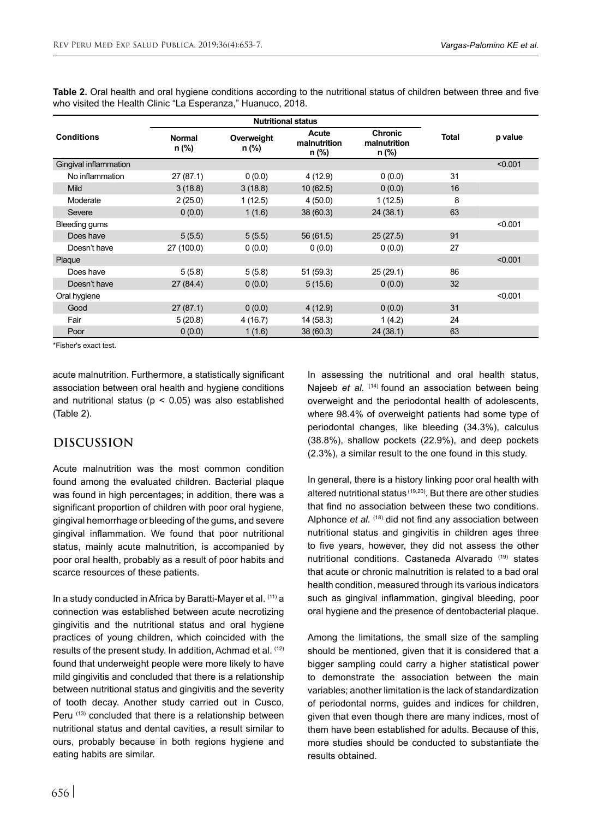|                       | <b>Nutritional status</b> |                     |                                |                                         |              |         |
|-----------------------|---------------------------|---------------------|--------------------------------|-----------------------------------------|--------------|---------|
| <b>Conditions</b>     | <b>Normal</b><br>n (%)    | Overweight<br>n (%) | Acute<br>malnutrition<br>n (%) | <b>Chronic</b><br>malnutrition<br>n (%) | <b>Total</b> | p value |
| Gingival inflammation |                           |                     |                                |                                         |              | < 0.001 |
| No inflammation       | 27(87.1)                  | 0(0.0)              | 4(12.9)                        | 0(0.0)                                  | 31           |         |
| <b>Mild</b>           | 3(18.8)                   | 3(18.8)             | 10(62.5)                       | 0(0.0)                                  | 16           |         |
| Moderate              | 2(25.0)                   | 1(12.5)             | 4(50.0)                        | 1(12.5)                                 | 8            |         |
| Severe                | 0(0.0)                    | 1(1.6)              | 38(60.3)                       | 24(38.1)                                | 63           |         |
| Bleeding gums         |                           |                     |                                |                                         |              | < 0.001 |
| Does have             | 5(5.5)                    | 5(5.5)              | 56 (61.5)                      | 25(27.5)                                | 91           |         |
| Doesn't have          | 27 (100.0)                | 0(0.0)              | 0(0.0)                         | 0(0.0)                                  | 27           |         |
| Plaque                |                           |                     |                                |                                         |              | < 0.001 |
| Does have             | 5(5.8)                    | 5(5.8)              | 51(59.3)                       | 25(29.1)                                | 86           |         |
| Doesn't have          | 27(84.4)                  | 0(0.0)              | 5(15.6)                        | 0(0.0)                                  | 32           |         |
| Oral hygiene          |                           |                     |                                |                                         |              | < 0.001 |
| Good                  | 27(87.1)                  | 0(0.0)              | 4(12.9)                        | 0(0.0)                                  | 31           |         |
| Fair                  | 5(20.8)                   | 4 (16.7)            | 14 (58.3)                      | 1(4.2)                                  | 24           |         |
| Poor                  | 0(0.0)                    | 1(1.6)              | 38 (60.3)                      | 24(38.1)                                | 63           |         |

**Table 2.** Oral health and oral hygiene conditions according to the nutritional status of children between three and five who visited the Health Clinic "La Esperanza," Huanuco, 2018.

\*Fisher's exact test.

acute malnutrition. Furthermore, a statistically significant association between oral health and hygiene conditions and nutritional status ( $p < 0.05$ ) was also established (Table 2).

# **DISCUSSION**

Acute malnutrition was the most common condition found among the evaluated children. Bacterial plaque was found in high percentages; in addition, there was a significant proportion of children with poor oral hygiene, gingival hemorrhage or bleeding of the gums, and severe gingival inflammation. We found that poor nutritional status, mainly acute malnutrition, is accompanied by poor oral health, probably as a result of poor habits and scarce resources of these patients.

In a study conducted in Africa by Baratti-Mayer et al. (11) a connection was established between acute necrotizing gingivitis and the nutritional status and oral hygiene practices of young children, which coincided with the results of the present study. In addition, Achmad et al. (12) found that underweight people were more likely to have mild gingivitis and concluded that there is a relationship between nutritional status and gingivitis and the severity of tooth decay. Another study carried out in Cusco, Peru (13) concluded that there is a relationship between nutritional status and dental cavities, a result similar to ours, probably because in both regions hygiene and eating habits are similar.

In assessing the nutritional and oral health status, Najeeb *et al.* (14) found an association between being overweight and the periodontal health of adolescents, where 98.4% of overweight patients had some type of periodontal changes, like bleeding (34.3%), calculus (38.8%), shallow pockets (22.9%), and deep pockets (2.3%), a similar result to the one found in this study.

In general, there is a history linking poor oral health with altered nutritional status (19,20). But there are other studies that find no association between these two conditions. Alphonce *et al.* (18) did not find any association between nutritional status and gingivitis in children ages three to five years, however, they did not assess the other nutritional conditions. Castaneda Alvarado (19) states that acute or chronic malnutrition is related to a bad oral health condition, measured through its various indicators such as gingival inflammation, gingival bleeding, poor oral hygiene and the presence of dentobacterial plaque.

Among the limitations, the small size of the sampling should be mentioned, given that it is considered that a bigger sampling could carry a higher statistical power to demonstrate the association between the main variables; another limitation is the lack of standardization of periodontal norms, guides and indices for children, given that even though there are many indices, most of them have been established for adults. Because of this, more studies should be conducted to substantiate the results obtained.